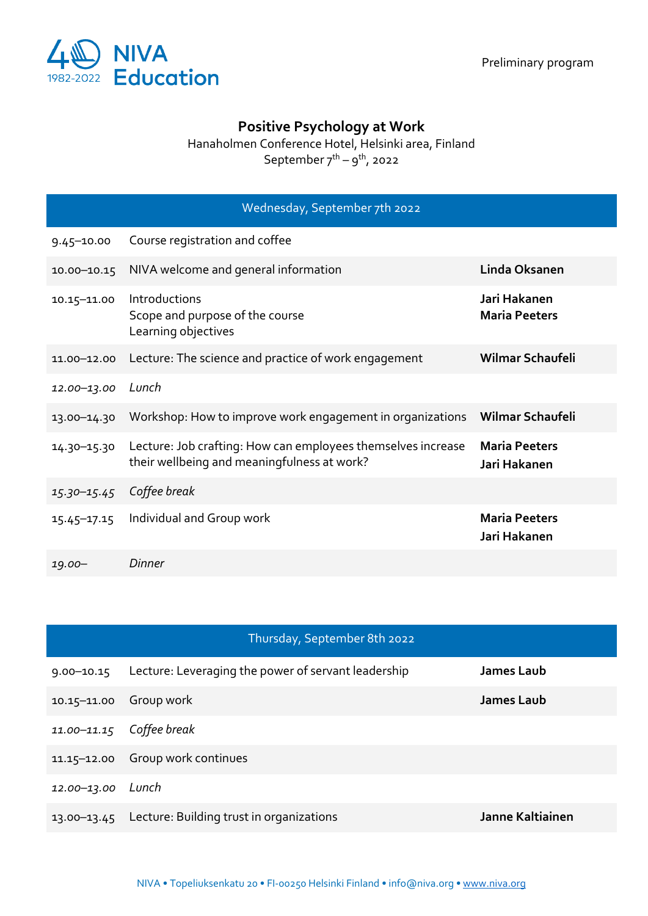

## **Positive Psychology at Work**

Hanaholmen Conference Hotel, Helsinki area, Finland

September  $7^{th} - 9^{th}$ , 2022

|                 | Wednesday, September 7th 2022                                                                               |                                      |
|-----------------|-------------------------------------------------------------------------------------------------------------|--------------------------------------|
| $9.45 - 10.00$  | Course registration and coffee                                                                              |                                      |
| $10.00 - 10.15$ | NIVA welcome and general information                                                                        | Linda Oksanen                        |
| 10.15-11.00     | Introductions<br>Scope and purpose of the course<br>Learning objectives                                     | Jari Hakanen<br><b>Maria Peeters</b> |
| 11.00-12.00     | Lecture: The science and practice of work engagement                                                        | Wilmar Schaufeli                     |
| 12.00-13.00     | Lunch                                                                                                       |                                      |
| 13.00-14.30     | Workshop: How to improve work engagement in organizations                                                   | Wilmar Schaufeli                     |
| 14.30-15.30     | Lecture: Job crafting: How can employees themselves increase<br>their wellbeing and meaningfulness at work? | <b>Maria Peeters</b><br>Jari Hakanen |
| $15.30 - 15.45$ | Coffee break                                                                                                |                                      |
| $15.45 - 17.15$ | Individual and Group work                                                                                   | <b>Maria Peeters</b><br>Jari Hakanen |
| $19.00 -$       | Dinner                                                                                                      |                                      |

|                 | Thursday, September 8th 2022                        |                  |
|-----------------|-----------------------------------------------------|------------------|
| $9.00 - 10.15$  | Lecture: Leveraging the power of servant leadership | James Laub       |
| $10.15 - 11.00$ | Group work                                          | James Laub       |
| 11.00-11.15     | Coffee break                                        |                  |
| 11.15-12.00     | Group work continues                                |                  |
| 12.00-13.00     | Lunch                                               |                  |
| $13.00 - 13.45$ | Lecture: Building trust in organizations            | Janne Kaltiainen |